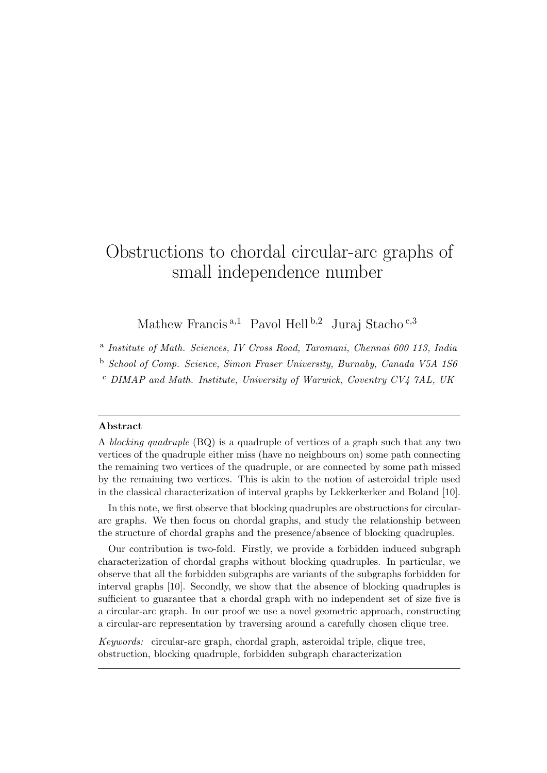# Obstructions to chordal circular-arc graphs of small independence number

Mathew Francis<sup>a,1</sup> Pavol Hell<sup>b,2</sup> Juraj Stacho<sup>c,3</sup>

<sup>a</sup> Institute of Math. Sciences, IV Cross Road, Taramani, Chennai 600 113, India

<sup>b</sup> School of Comp. Science, Simon Fraser University, Burnaby, Canada V5A 1S6

<sup>c</sup> DIMAP and Math. Institute, University of Warwick, Coventry CV4 7AL, UK

#### Abstract

A blocking quadruple (BQ) is a quadruple of vertices of a graph such that any two vertices of the quadruple either miss (have no neighbours on) some path connecting the remaining two vertices of the quadruple, or are connected by some path missed by the remaining two vertices. This is akin to the notion of asteroidal triple used in the classical characterization of interval graphs by Lekkerkerker and Boland [10].

In this note, we first observe that blocking quadruples are obstructions for circulararc graphs. We then focus on chordal graphs, and study the relationship between the structure of chordal graphs and the presence/absence of blocking quadruples.

Our contribution is two-fold. Firstly, we provide a forbidden induced subgraph characterization of chordal graphs without blocking quadruples. In particular, we observe that all the forbidden subgraphs are variants of the subgraphs forbidden for interval graphs [10]. Secondly, we show that the absence of blocking quadruples is sufficient to guarantee that a chordal graph with no independent set of size five is a circular-arc graph. In our proof we use a novel geometric approach, constructing a circular-arc representation by traversing around a carefully chosen clique tree.

Keywords: circular-arc graph, chordal graph, asteroidal triple, clique tree, obstruction, blocking quadruple, forbidden subgraph characterization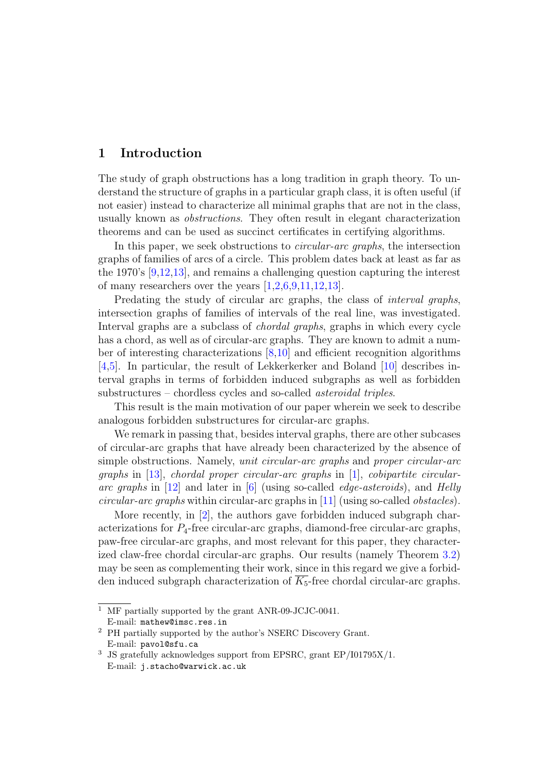# 1 Introduction

The study of graph obstructions has a long tradition in graph theory. To understand the structure of graphs in a particular graph class, it is often useful (if not easier) instead to characterize all minimal graphs that are not in the class, usually known as obstructions. They often result in elegant characterization theorems and can be used as succinct certificates in certifying algorithms.

In this paper, we seek obstructions to circular-arc graphs, the intersection graphs of families of arcs of a circle. This problem dates back at least as far as the 1970's [\[9,](#page-6-0)[12,](#page-6-1)[13\]](#page-6-2), and remains a challenging question capturing the interest of many researchers over the years  $[1,2,6,9,11,12,13]$  $[1,2,6,9,11,12,13]$  $[1,2,6,9,11,12,13]$  $[1,2,6,9,11,12,13]$  $[1,2,6,9,11,12,13]$  $[1,2,6,9,11,12,13]$  $[1,2,6,9,11,12,13]$ .

Predating the study of circular arc graphs, the class of interval graphs, intersection graphs of families of intervals of the real line, was investigated. Interval graphs are a subclass of chordal graphs, graphs in which every cycle has a chord, as well as of circular-arc graphs. They are known to admit a number of interesting characterizations [\[8](#page-6-5)[,10\]](#page-6-6) and efficient recognition algorithms [\[4](#page-5-2)[,5\]](#page-5-3). In particular, the result of Lekkerkerker and Boland [\[10\]](#page-6-6) describes interval graphs in terms of forbidden induced subgraphs as well as forbidden substructures – chordless cycles and so-called *asteroidal triples*.

This result is the main motivation of our paper wherein we seek to describe analogous forbidden substructures for circular-arc graphs.

We remark in passing that, besides interval graphs, there are other subcases of circular-arc graphs that have already been characterized by the absence of simple obstructions. Namely, *unit circular-arc graphs* and *proper circular-arc* graphs in [\[13\]](#page-6-2), chordal proper circular-arc graphs in [\[1\]](#page-5-0), cobipartite circulararc graphs in  $[12]$  and later in  $[6]$  (using so-called *edge-asteroids*), and *Helly* circular-arc graphs within circular-arc graphs in [\[11\]](#page-6-4) (using so-called obstacles).

More recently, in [\[2\]](#page-5-1), the authors gave forbidden induced subgraph characterizations for  $P_4$ -free circular-arc graphs, diamond-free circular-arc graphs, paw-free circular-arc graphs, and most relevant for this paper, they characterized claw-free chordal circular-arc graphs. Our results (namely Theorem [3.2\)](#page-3-0) may be seen as complementing their work, since in this regard we give a forbidden induced subgraph characterization of  $\overline{K_5}$ -free chordal circular-arc graphs.

<sup>&</sup>lt;sup>1</sup> MF partially supported by the grant ANR-09-JCJC-0041. E-mail: mathew@imsc.res.in

<sup>2</sup> PH partially supported by the author's NSERC Discovery Grant. E-mail: pavol@sfu.ca

<sup>3</sup> JS gratefully acknowledges support from EPSRC, grant EP/I01795X/1. E-mail: j.stacho@warwick.ac.uk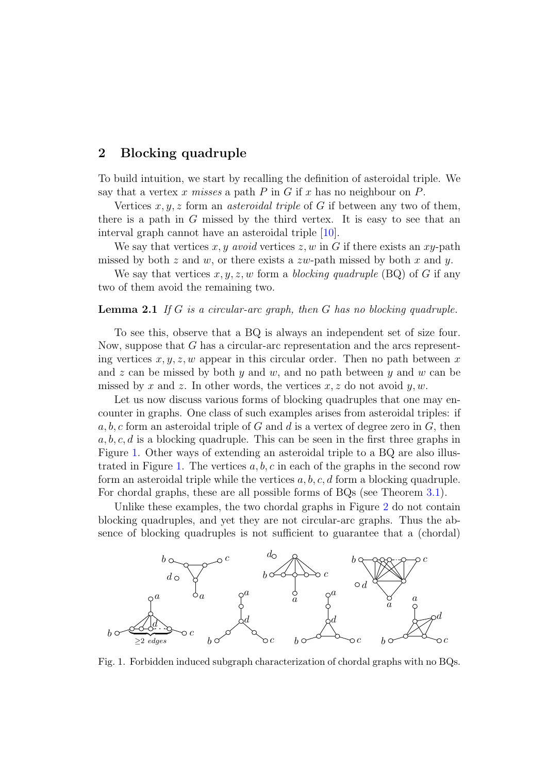# 2 Blocking quadruple

To build intuition, we start by recalling the definition of asteroidal triple. We say that a vertex x misses a path  $P$  in  $G$  if x has no neighbour on  $P$ .

Vertices  $x, y, z$  form an *asteroidal triple* of G if between any two of them, there is a path in G missed by the third vertex. It is easy to see that an interval graph cannot have an asteroidal triple [\[10\]](#page-6-6).

We say that vertices x, y avoid vertices z, w in G if there exists an xy-path missed by both z and w, or there exists a zw-path missed by both x and y.

We say that vertices  $x, y, z, w$  form a blocking quadruple (BQ) of G if any two of them avoid the remaining two.

#### <span id="page-2-1"></span>**Lemma 2.1** If G is a circular-arc graph, then G has no blocking quadruple.

To see this, observe that a BQ is always an independent set of size four. Now, suppose that  $G$  has a circular-arc representation and the arcs representing vertices  $x, y, z, w$  appear in this circular order. Then no path between x and z can be missed by both y and w, and no path between y and w can be missed by x and z. In other words, the vertices  $x, z$  do not avoid  $y, w$ .

Let us now discuss various forms of blocking quadruples that one may encounter in graphs. One class of such examples arises from asteroidal triples: if  $a, b, c$  form an asteroidal triple of G and d is a vertex of degree zero in  $G$ , then  $a, b, c, d$  is a blocking quadruple. This can be seen in the first three graphs in Figure [1.](#page-2-0) Other ways of extending an asteroidal triple to a BQ are also illus-trated in Figure [1.](#page-2-0) The vertices  $a, b, c$  in each of the graphs in the second row form an asteroidal triple while the vertices  $a, b, c, d$  form a blocking quadruple. For chordal graphs, these are all possible forms of BQs (see Theorem [3.1\)](#page-3-1).

Unlike these examples, the two chordal graphs in Figure [2](#page-3-2) do not contain blocking quadruples, and yet they are not circular-arc graphs. Thus the absence of blocking quadruples is not sufficient to guarantee that a (chordal)



<span id="page-2-0"></span>Fig. 1. Forbidden induced subgraph characterization of chordal graphs with no BQs.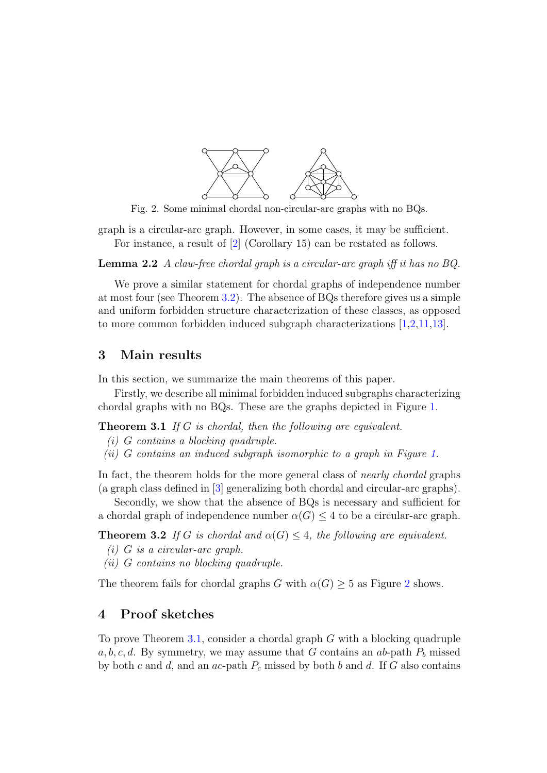

<span id="page-3-2"></span>Fig. 2. Some minimal chordal non-circular-arc graphs with no BQs.

graph is a circular-arc graph. However, in some cases, it may be sufficient. For instance, a result of [\[2\]](#page-5-1) (Corollary 15) can be restated as follows.

Lemma 2.2 A claw-free chordal graph is a circular-arc graph iff it has no BQ.

We prove a similar statement for chordal graphs of independence number at most four (see Theorem [3.2\)](#page-3-0). The absence of BQs therefore gives us a simple and uniform forbidden structure characterization of these classes, as opposed to more common forbidden induced subgraph characterizations [\[1](#page-5-0)[,2,](#page-5-1)[11,](#page-6-4)[13\]](#page-6-2).

## 3 Main results

In this section, we summarize the main theorems of this paper.

Firstly, we describe all minimal forbidden induced subgraphs characterizing chordal graphs with no BQs. These are the graphs depicted in Figure [1.](#page-2-0)

<span id="page-3-1"></span>**Theorem 3.1** If G is chordal, then the following are equivalent.

(i) G contains a blocking quadruple.

(ii) G contains an induced subgraph isomorphic to a graph in Figure [1.](#page-2-0)

In fact, the theorem holds for the more general class of *nearly chordal* graphs (a graph class defined in [\[3\]](#page-5-4) generalizing both chordal and circular-arc graphs).

Secondly, we show that the absence of BQs is necessary and sufficient for a chordal graph of independence number  $\alpha(G) \leq 4$  to be a circular-arc graph.

<span id="page-3-0"></span>**Theorem 3.2** If G is chordal and  $\alpha(G) \leq 4$ , the following are equivalent.

- $(i)$  G is a circular-arc graph.
- (ii) G contains no blocking quadruple.

The theorem fails for chordal graphs G with  $\alpha(G) \geq 5$  as Figure [2](#page-3-2) shows.

### 4 Proof sketches

To prove Theorem [3.1,](#page-3-1) consider a chordal graph  $G$  with a blocking quadruple a, b, c, d. By symmetry, we may assume that G contains an ab-path  $P_b$  missed by both c and d, and an ac-path  $P_c$  missed by both b and d. If G also contains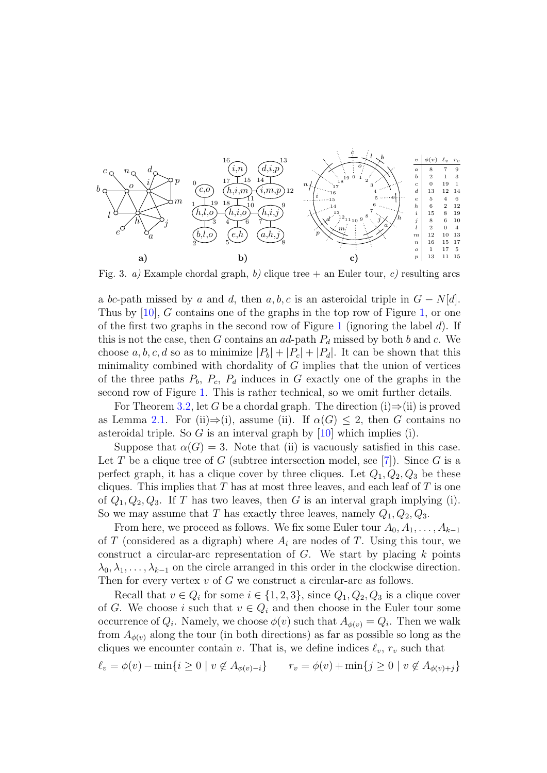

<span id="page-4-0"></span>Fig. 3. a) Example chordal graph, b) clique tree  $+$  an Euler tour, c) resulting arcs

a bc-path missed by a and d, then  $a, b, c$  is an asteroidal triple in  $G - N[d]$ . Thus by  $[10]$ , G contains one of the graphs in the top row of Figure [1,](#page-2-0) or one of the first two graphs in the second row of Figure [1](#page-2-0) (ignoring the label  $d$ ). If this is not the case, then G contains an  $ad$ -path  $P_d$  missed by both b and c. We choose a, b, c, d so as to minimize  $|P_b| + |P_c| + |P_d|$ . It can be shown that this minimality combined with chordality of  $G$  implies that the union of vertices of the three paths  $P_b$ ,  $P_c$ ,  $P_d$  induces in G exactly one of the graphs in the second row of Figure [1.](#page-2-0) This is rather technical, so we omit further details.

For Theorem [3.2,](#page-3-0) let G be a chordal graph. The direction  $(i) \Rightarrow (ii)$  is proved as Lemma [2.1.](#page-2-1) For (ii)⇒(i), assume (ii). If  $\alpha(G) \leq 2$ , then G contains no asteroidal triple. So G is an interval graph by  $[10]$  which implies (i).

Suppose that  $\alpha(G) = 3$ . Note that (ii) is vacuously satisfied in this case. Let T be a clique tree of G (subtree intersection model, see [\[7\]](#page-6-7)). Since G is a perfect graph, it has a clique cover by three cliques. Let  $Q_1, Q_2, Q_3$  be these cliques. This implies that  $T$  has at most three leaves, and each leaf of  $T$  is one of  $Q_1, Q_2, Q_3$ . If T has two leaves, then G is an interval graph implying (i). So we may assume that T has exactly three leaves, namely  $Q_1, Q_2, Q_3$ .

From here, we proceed as follows. We fix some Euler tour  $A_0, A_1, \ldots, A_{k-1}$ of T (considered as a digraph) where  $A_i$  are nodes of T. Using this tour, we construct a circular-arc representation of  $G$ . We start by placing  $k$  points  $\lambda_0, \lambda_1, \ldots, \lambda_{k-1}$  on the circle arranged in this order in the clockwise direction. Then for every vertex  $v$  of  $G$  we construct a circular-arc as follows.

Recall that  $v \in Q_i$  for some  $i \in \{1, 2, 3\}$ , since  $Q_1, Q_2, Q_3$  is a clique cover of G. We choose i such that  $v \in Q_i$  and then choose in the Euler tour some occurrence of  $Q_i$ . Namely, we choose  $\phi(v)$  such that  $A_{\phi(v)} = Q_i$ . Then we walk from  $A_{\phi(v)}$  along the tour (in both directions) as far as possible so long as the cliques we encounter contain v. That is, we define indices  $\ell_v, r_v$  such that

$$
\ell_v = \phi(v) - \min\{i \ge 0 \mid v \notin A_{\phi(v)-i}\}\qquad r_v = \phi(v) + \min\{j \ge 0 \mid v \notin A_{\phi(v)+j}\}\
$$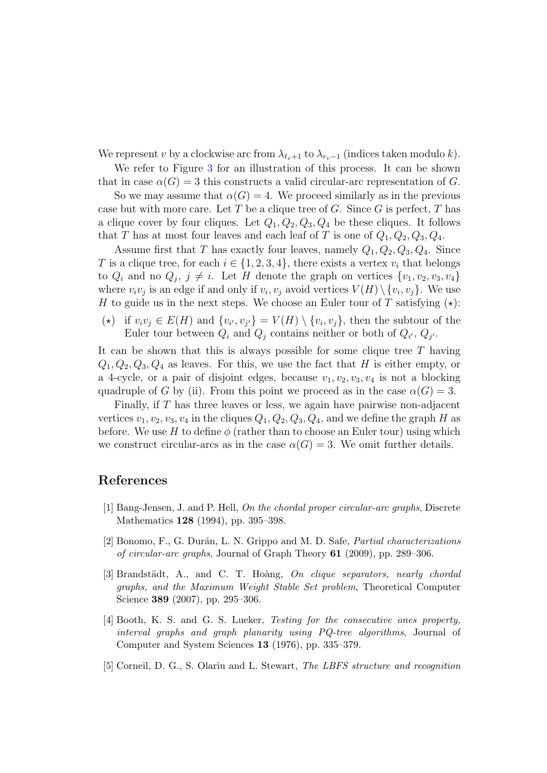We represent v by a clockwise arc from  $\lambda_{\ell_v+1}$  to  $\lambda_{r_v-1}$  (indices taken modulo k).

We refer to Figure [3](#page-4-0) for an illustration of this process. It can be shown that in case  $\alpha(G) = 3$  this constructs a valid circular-arc representation of G.

So we may assume that  $\alpha(G) = 4$ . We proceed similarly as in the previous case but with more care. Let  $T$  be a clique tree of  $G$ . Since  $G$  is perfect,  $T$  has a clique cover by four cliques. Let  $Q_1, Q_2, Q_3, Q_4$  be these cliques. It follows that T has at most four leaves and each leaf of T is one of  $Q_1, Q_2, Q_3, Q_4$ .

Assume first that T has exactly four leaves, namely  $Q_1, Q_2, Q_3, Q_4$ . Since T is a clique tree, for each  $i \in \{1, 2, 3, 4\}$ , there exists a vertex  $v_i$  that belongs to  $Q_i$  and no  $Q_j$ ,  $j \neq i$ . Let H denote the graph on vertices  $\{v_1, v_2, v_3, v_4\}$ where  $v_i v_j$  is an edge if and only if  $v_i, v_j$  avoid vertices  $V(H) \setminus \{v_i, v_j\}$ . We use H to guide us in the next steps. We choose an Euler tour of T satisfying  $(\star)$ :

(\*) if  $v_i v_j \in E(H)$  and  $\{v_{i'}, v_{j'}\} = V(H) \setminus \{v_i, v_j\}$ , then the subtour of the Euler tour between  $Q_i$  and  $Q_j$  contains neither or both of  $Q_{i'}, Q_{j'}$ .

It can be shown that this is always possible for some clique tree  $T$  having  $Q_1, Q_2, Q_3, Q_4$  as leaves. For this, we use the fact that H is either empty, or a 4-cycle, or a pair of disjoint edges, because  $v_1, v_2, v_3, v_4$  is not a blocking quadruple of G by (ii). From this point we proceed as in the case  $\alpha(G) = 3$ .

Finally, if T has three leaves or less, we again have pairwise non-adjacent vertices  $v_1, v_2, v_3, v_4$  in the cliques  $Q_1, Q_2, Q_3, Q_4$ , and we define the graph H as before. We use H to define  $\phi$  (rather than to choose an Euler tour) using which we construct circular-arcs as in the case  $\alpha(G) = 3$ . We omit further details.

## References

- <span id="page-5-0"></span>[1] Bang-Jensen, J. and P. Hell, On the chordal proper circular-arc graphs, Discrete Mathematics **128** (1994), pp. 395–398.
- <span id="page-5-1"></span>[2] Bonomo, F., G. Durán, L. N. Grippo and M. D. Safe, *Partial characterizations* of circular-arc graphs, Journal of Graph Theory 61 (2009), pp. 289–306.
- <span id="page-5-4"></span>[3] Brandstädt, A., and C. T. Hoàng, On clique separators, nearly chordal graphs, and the Maximum Weight Stable Set problem, Theoretical Computer Science 389 (2007), pp. 295–306.
- <span id="page-5-2"></span>[4] Booth, K. S. and G. S. Lueker, Testing for the consecutive ones property, interval graphs and graph planarity using PQ-tree algorithms, Journal of Computer and System Sciences 13 (1976), pp. 335–379.
- <span id="page-5-3"></span>[5] Corneil, D. G., S. Olariu and L. Stewart, The LBFS structure and recognition